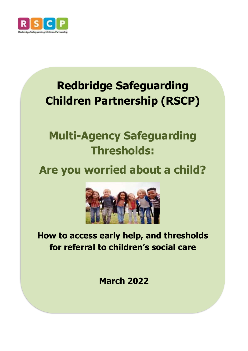

# **Redbridge Children Partnership (RSCP) Redbridge Safeguarding**

# **Multi-Agency Safeguarding Thresholds:**

# **Are you worried about a child?**



**How to access early help, and thresholds for referral to children's social care**

**March 2022**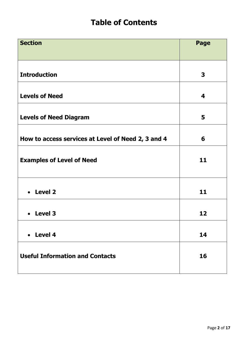# **Table of Contents**

| <b>Section</b>                                     | <b>Page</b> |
|----------------------------------------------------|-------------|
|                                                    |             |
| <b>Introduction</b>                                | 3           |
| <b>Levels of Need</b>                              | 4           |
| <b>Levels of Need Diagram</b>                      | 5           |
| How to access services at Level of Need 2, 3 and 4 | 6           |
| <b>Examples of Level of Need</b>                   | 11          |
| • Level 2                                          | 11          |
| <b>Level 3</b><br>$\bullet$                        | 12          |
| • Level 4                                          | 14          |
| <b>Useful Information and Contacts</b>             | 16          |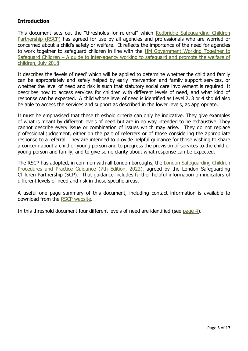## <span id="page-2-0"></span>**Introduction**

This document sets out the "thresholds for referral" which [Redbridge Safeguarding Children](http://www.redbridgescp.org.uk/)  [Partnership \(RSCP\)](http://www.redbridgescp.org.uk/) has agreed for use by all agencies and professionals who are worried or concerned about a child's safety or welfare. It reflects the importance of the need for agencies to work together to safeguard children in line with the **HM Government Working Together to** Safeguard Children – [A guide to inter-agency working to safeguard and promote the welfare of](https://assets.publishing.service.gov.uk/government/uploads/system/uploads/attachment_data/file/942454/Working_together_to_safeguard_children_inter_agency_guidance.pdf)  [children, July 2018.](https://assets.publishing.service.gov.uk/government/uploads/system/uploads/attachment_data/file/942454/Working_together_to_safeguard_children_inter_agency_guidance.pdf)

It describes the 'levels of need' which will be applied to determine whether the child and family can be appropriately and safely helped by early intervention and family support services, or whether the level of need and risk is such that statutory social care involvement is required. It describes how to access services for children with different levels of need, and what kind of response can be expected. A child whose level of need is identified as Level 2, 3 or 4 should also be able to access the services and support as described in the lower levels, as appropriate.

It must be emphasised that these threshold criteria can only be indicative. They give examples of what is meant by different levels of need but are in no way intended to be exhaustive. They cannot describe every issue or combination of issues which may arise. They do not replace professional judgement, either on the part of referrers or of those considering the appropriate response to a referral. They are intended to provide helpful guidance for those wishing to share a concern about a child or young person and to progress the provision of services to the child or young person and family, and to give some clarity about what response can be expected.

The RSCP has adopted, in common with all London boroughs, the [London Safeguarding Children](https://www.londonsafeguardingchildrenprocedures.co.uk/)  [Procedures and Practice Guidance \(7th Edition, 2022\),](https://www.londonsafeguardingchildrenprocedures.co.uk/) agreed by the London Safeguarding Children Partnership (SCP). That guidance includes further helpful information on indicators of different levels of need and risk in these specific areas.

A useful one page summary of this document, including contact information is available to download from the [RSCP website.](https://www.redbridgescp.org.uk/professionals/worried-about-a-child/)

In this threshold document four different levels of need are identified (see [page 4\)](#page-3-0).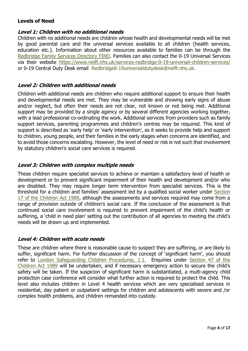#### <span id="page-3-0"></span>**Levels of Need**

#### **Level 1: Children with no additional needs**

Children with no additional needs are children whose health and developmental needs will be met by good parental care and the universal services available to all children (health services, education etc.). Information about other resources available to families can be through the [Redbridge Family Services Directory FIND.](https://find.redbridge.gov.uk/kb5/redbridge/fsd/home.page) Families can also contact the 0-19 Universal Services via their website <https://www.nelft.nhs.uk/services-redbridge-0-19-universal-children-services/> or 0-19 Central Duty Desk email Redbridge0-19universaldutydesk@nelft.nhs.uk.

#### **Level 2: Children with additional needs**

Children with additional needs are children who require additional support to ensure their health and developmental needs are met. They may be vulnerable and showing early signs of abuse and/or neglect, but often their needs are not clear, not known or not being met. Additional support may be provided by a single agency or by several different agencies working together, with a lead professional co-ordinating the work. Additional services from providers such as family support services, parenting programmes and children's centres may be required. This kind of support is described as 'early help' or 'early intervention', as it seeks to provide help and support to children, young people, and their families in the early stages when concerns are identified, and to avoid those concerns escalating. However, the level of need or risk is not such that involvement by statutory children's social care services is required.

#### **Level 3: Children with complex multiple needs**

These children require specialist services to achieve or maintain a satisfactory level of health or development or to prevent significant impairment of their health and development and/or who are disabled. They may require longer term intervention from specialist services. This is the threshold for a children and families' assessment led by a qualified social worker under [Section](https://www.legislation.gov.uk/ukpga/1989/41/section/17)  [17 of the Children Act 1989,](https://www.legislation.gov.uk/ukpga/1989/41/section/17) although the assessments and services required may come from a range of provision outside of children's social care. If the conclusion of the assessment is that continued social care involvement is required to prevent impairment of the child's health or suffering, a 'child in need plan' setting out the contribution of all agencies to meeting the child's needs will be drawn up and implemented.

#### **Level 4: Children with acute needs**

These are children where there is reasonable cause to suspect they are suffering, or are likely to suffer, significant harm. For further discussion of the concept of 'significant harm', you should refer to [London Safeguarding Children Procedures, 1.1.](https://www.londonsafeguardingchildrenprocedures.co.uk/responding_concerns.html) Enquiries under [Section 47 of the](https://www.legislation.gov.uk/ukpga/1989/41/section/47)  [Children Act 1989](https://www.legislation.gov.uk/ukpga/1989/41/section/47) will be undertaken, and if necessary emergency action to secure the child's safety will be taken. If the suspicion of significant harm is substantiated, a multi-agency child protection case conference will consider what further action is required to protect the child. This level also includes children in Level 4 health services which are very specialised services in residential, day patient or outpatient settings for children and adolescents with severe and /or complex health problems, and children remanded into custody.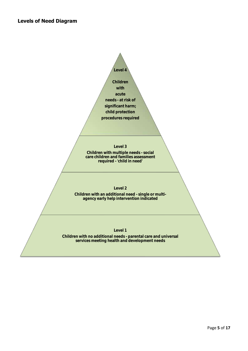#### <span id="page-4-0"></span>**Levels of Need Diagram**

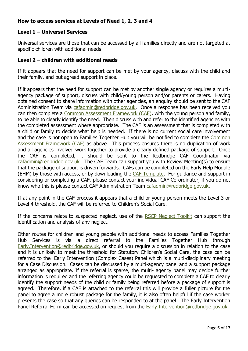#### <span id="page-5-0"></span>**How to access services at Levels of Need 1, 2, 3 and 4**

#### **Level 1 – Universal Services**

Universal services are those that can be accessed by all families directly and are not targeted at specific children with additional needs.

#### **Level 2 – children with additional needs**

If it appears that the need for support can be met by your agency, discuss with the child and their family, and put agreed support in place.

If it appears that the need for support can be met by another single agency or requires a multiagency package of support, discuss with child/young person and/or parents or carers. Having obtained consent to share information with other agencies, an enquiry should be sent to the CAF Administration Team via [cafadmin@redbridge.gov.uk.](mailto:cafadmin@redbridge.gov.uk) Once a response has been received you can then complete a [Common Assessment Framework \(CAF\),](https://find.redbridge.gov.uk/kb5/redbridge/fsd/service.page?id=enGhgjioUeY) with the young person and family, to be able to clearly identify the need. Then discuss with and refer to the identified agencies with the completed assessment where appropriate. The CAF is an assessment that is completed with a child or family to decide what help is needed. If there is no current social care involvement and the case is not open to Families Together Hub you will be notified to complete the [Common](https://find.redbridge.gov.uk/kb5/redbridge/fsd/service.page?id=enGhgjioUeY)  [Assessment Framework \(CAF\)](https://find.redbridge.gov.uk/kb5/redbridge/fsd/service.page?id=enGhgjioUeY) as above. This process ensures there is no duplication of work and all agencies involved work together to provide a clearly defined package of support. Once the CAF is completed, it should be sent to the Redbridge CAF Coordinator via [cafadmin@redbridge.gov.uk.](mailto:cafadmin@redbridge.gov.uk) The CAF Team can support you with Review Meeting(s) to ensure that the package of support is driven forwards. CAFs can be completed on the Early Help Module (EHM) by those with access, or by downloading the CAF [Template.](https://find.redbridge.gov.uk/kb5/redbridge/fsd/service.page?id=enGhgjioUeY) For guidance and support in considering or completing a CAF, please contact your individual CAF Co-ordinator, if you do not know who this is please contact CAF Administration Team [cafadmin@redbridge.gov.uk.](mailto:cafadmin@redbridge.gov.uk)

If at any point in the CAF process it appears that a child or young person meets the Level 3 or Level 4 threshold, the CAF will be referred to Children's Social Care.

If the concerns relate to suspected neglect, use of the [RSCP Neglect Toolkit](https://www.redbridgescp.org.uk/wp-content/uploads/2017/03/Redbridge-LSCB-Neglect-Toolkit-and-Guidance-2014.pdf) can support the identification and analysis of any neglect.

Other routes for children and young people with additional needs to access Families Together Hub Services is via a direct referral to the Families Together Hub through [Early.Intervention@redbridge.gov.uk,](mailto:Early.Intervention@redbridge.gov.uk) or should you require a discussion in relation to the case and it is unlikely to meet the threshold for Statutory Children's Social Care, the case can be referred to the Early Intervention (Complex Cases) Panel which is a multi-disciplinary meeting for a Case Discussion. Cases can be discussed by a multi-agency panel and a support package arranged as appropriate. If the referral is sparse, the multi- agency panel may decide further information is required and the referring agency could be requested to complete a CAF to clearly identify the support needs of the child or family being referred before a package of support is agreed. Therefore, if a CAF is attached to the referral this will provide a fuller picture for the panel to agree a more robust package for the family, it is also often helpful if the case worker presents the case so that any queries can be responded to at the panel. The Early Intervention Panel Referral Form can be accessed on request from the **Early.**Intervention@redbridge.gov.uk.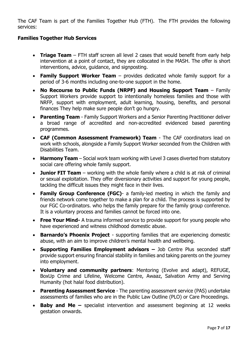The CAF Team is part of the Families Together Hub (FTH). The FTH provides the following services:

#### **Families Together Hub Services**

- **Triage Team** FTH staff screen all level 2 cases that would benefit from early help intervention at a point of contact, they are collocated in the MASH. The offer is short interventions, advice, guidance, and signposting.
- **Family Support Worker Team**  provides dedicated whole family support for a period of 3-6 months including one-to-one support in the home.
- **No Recourse to Public Funds (NRPF) and Housing Support Team** Family Support Workers provide support to intentionally homeless families and those with NRFP, support with employment, adult learning, housing, benefits, and personal finances They help make sure people don't go hungry.
- **Parenting Team** Family Support Workers and a Senior Parenting Practitioner deliver a broad range of accredited and non-accredited evidenced based parenting programmes.
- **CAF (Common Assessment Framework) Team** The CAF coordinators lead on work with schools, alongside a Family Support Worker seconded from the Children with Disabilities Team.
- **Harmony Team** Social work team working with Level 3 cases diverted from statutory social care offering whole family support.
- **Junior FIT Team** working with the whole family where a child is at risk of criminal or sexual exploitation. They offer diversionary activities and support for young people, tackling the difficult issues they might face in their lives.
- **Family Group Conference (FGC)** a family-led meeting in which the family and friends network come together to make a plan for a child. The process is supported by our FGC Co-ordinators. who helps the family prepare for the family group conference. It is a voluntary process and families cannot be forced into one.
- **Free Your Mind-** A trauma informed service to provide support for young people who have experienced and witness childhood domestic abuse.
- **Barnardo's Phoenix Project** supporting families that are experiencing domestic abuse, with an aim to improve children's mental health and wellbeing.
- **Supporting Families Employment advisors –** Job Centre Plus seconded staff provide support ensuring financial stability in families and taking parents on the journey into employment.
- **Voluntary and community partners**: Mentoring (Evolve and adapt), REFUGE, BoxUp Crime and Lifeline, Welcome Centre, Awaaz, Salvation Army and Serving Humanity (hot halal food distribution).
- **Parenting Assessment Service**  The parenting assessment service (PAS) undertake assessments of families who are in the Public Law Outline (PLO) or Care Proceedings.
- **Baby and Me –** specialist intervention and assessment beginning at 12 weeks gestation onwards.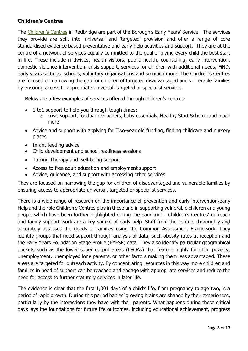### **Children's Centres**

The [Children's Centres](https://find.redbridge.gov.uk/kb5/redbridge/fsd/family.page?familychannel=2) in Redbridge are part of the Borough's Early Years' Service. The services they provide are split into 'universal' and 'targeted' provision and offer a range of core standardised evidence based preventative and early help activities and support. They are at the centre of a network of services equally committed to the goal of giving every child the best start in life. These include midwives, health visitors, public health, counselling, early intervention, domestic violence intervention, crisis support, services for children with additional needs, FiND, early years settings, schools, voluntary organisations and so much more. The Children's Centres are focused on narrowing the gap for children of targeted disadvantaged and vulnerable families by ensuring access to appropriate universal, targeted or specialist services.

Below are a few examples of services offered through children's centres:

- 1 to1 support to help you through tough times:
	- o crisis support, foodbank vouchers, baby essentials, Healthy Start Scheme and much more
- Advice and support with applying for Two-year old funding, finding childcare and nursery places
- Infant feeding advice
- Child development and school readiness sessions
- Talking Therapy and well-being support
- Access to free adult education and employment support
- Advice, guidance, and support with accessing other services.

They are focused on narrowing the gap for children of disadvantaged and vulnerable families by ensuring access to appropriate universal, targeted or specialist services.

There is a wide range of research on the importance of prevention and early intervention/early Help and the role Children's Centres play in these and in supporting vulnerable children and young people which have been further highlighted during the pandemic. Children's Centres' outreach and family support work are a key source of early help. Staff from the centres thoroughly and accurately assesses the needs of families using the Common Assessment Framework. They identify groups that need support through analysis of data, such obesity rates at reception and the Early Years Foundation Stage Profile (EYFSP) data. They also identify particular geographical pockets such as the lower super output areas (LSOAs) that feature highly for child poverty, unemployment, unemployed lone parents, or other factors making them less advantaged. These areas are targeted for outreach activity. By concentrating resources in this way more children and families in need of support can be reached and engage with appropriate services and reduce the need for access to further statutory services in later life.

The evidence is clear that the first 1,001 days of a child's life, from pregnancy to age two, is a period of rapid growth. During this period babies' growing brains are shaped by their experiences, particularly by the interactions they have with their parents. What happens during these critical days lays the foundations for future life outcomes, including educational achievement, progress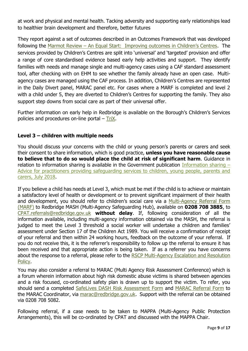at work and physical and mental health. Tacking adversity and supporting early relationships lead to healthier brain development and therefore, better futures

They report against a set of outcomes described in an Outcomes Framework that was developed following the Marmot Review – [An Equal Start: Improving outcomes in Children's Centres](http://www.instituteofhealthequity.org/resources-reports/an-equal-start-improving-outcomes-in-childrens-centres/an-equal-start-evidence-review.pdf). The services provided by Children's Centres are split into 'universal' and 'targeted' provision and offer a range of core standardised evidence based early help activities and support. They identify families with needs and manage single and multi-agency cases using a CAF standard assessment tool, after checking with on EHM to see whether the family already have an open case. Multiagency cases are managed using the CAF process. In addition, Children's Centres are represented in the Daily Divert panel, MARAC panel etc. For cases where a MARF is completed and level 2 with a child under 5, they are diverted to Children's Centres for supporting the family. They also support step downs from social care as part of their universal offer.

Further information on early help in Redbridge is available on the Borough's Children's Services policies and procedures on-line portal – [TriX.](http://redbridgechildcare.proceduresonline.com/hub/early.html)

#### <span id="page-8-0"></span>**Level 3 – children with multiple needs**

You should discuss your concerns with the child or young person's parents or carers and seek their consent to share information, which is good practice, **unless you have reasonable cause to believe that to do so would place the child at risk of significant harm**. Guidance in relation to information sharing is available in the Government publication [Information sharing](https://assets.publishing.service.gov.uk/government/uploads/system/uploads/attachment_data/file/721581/Information_sharing_advice_practitioners_safeguarding_services.pdf)  $-$ [Advice for practitioners providing safeguarding services to children, young people, parents and](https://assets.publishing.service.gov.uk/government/uploads/system/uploads/attachment_data/file/721581/Information_sharing_advice_practitioners_safeguarding_services.pdf)  carers, [July 2018.](https://assets.publishing.service.gov.uk/government/uploads/system/uploads/attachment_data/file/721581/Information_sharing_advice_practitioners_safeguarding_services.pdf)

If you believe a child has needs at Level 3, which must be met if the child is to achieve or maintain a satisfactory level of health or development or to prevent significant impairment of their health and development, you should refer to children's social care via a [Multi-Agency Referral Form](https://www.redbridgescp.org.uk/professionals/worried-about-a-child/)  [\(MARF\)](https://www.redbridgescp.org.uk/professionals/worried-about-a-child/) to Redbridge MASH (Multi-Agency Safeguarding Hub), available on **0208 708 3885**, to [CPAT.referrals@redbridge.gov.uk](mailto:CPAT.referrals@redbridge.gov.uk) **without delay**. If, following consideration of all the information available, including multi-agency information obtained via the MASH, the referral is judged to meet the Level 3 threshold a social worker will undertake a children and families' assessment under Section 17 of the Children Act 1989. You will receive a confirmation of receipt of your referral and then within 24 working hours, feedback on the outcome of your referral. If you do not receive this, it is the referrer's responsibility to follow up the referral to ensure it has been received and that appropriate action is being taken. If as a referrer you have concerns about the response to a referral, please refer to the RSCP [Multi-Agency Escalation and Resolution](https://www.redbridgescp.org.uk/wp-content/uploads/2019/06/Redbridge-LSCB-Escalation-and-Resolution-Policy-3rd-Edition-May-2019-Final.pdf)  [Policy.](https://www.redbridgescp.org.uk/wp-content/uploads/2019/06/Redbridge-LSCB-Escalation-and-Resolution-Policy-3rd-Edition-May-2019-Final.pdf)

You may also consider a referral to MARAC (Multi Agency Risk Assessment Conference) which is a forum wherein information about high risk domestic abuse victims is shared between agencies and a risk focused, co-ordinated safety plan is drawn up to support the victim. To refer, you should send a completed [SafeLives DASH Risk](https://safelives.org.uk/sites/default/files/resources/Dash%20without%20guidance.pdf) Assessment Form and [MARAC Referral Form](https://eforms.redbridge.gov.uk/marac-risk-indictator-referral-form/) to the MARAC Coordinator, via [marac@redbridge.gov.uk.](mailto:marac@redbridge.gov.uk) Support with the referral can be obtained via 0208 708 5082.

Following referral, if a case needs to be taken to MAPPA (Multi-Agency Public Protection Arrangements), this will be co-ordinated by CPAT and discussed with the MAPPA Chair.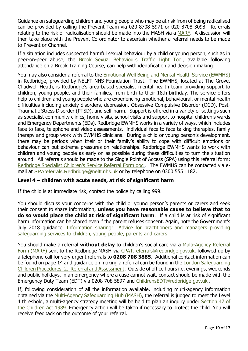Guidance on safeguarding children and young people who may be at risk from of being radicalised can be provided by calling the Prevent Team via 020 8708 5971 or 020 8708 3098. Referrals relating to the risk of radicalisation should be made into the MASH via a [MARF.](https://www.redbridgescp.org.uk/professionals/worried-about-a-child/) A discussion will then take place with the Prevent Co-ordinator to ascertain whether a referral needs to be made to Prevent or Channel.

If a situation includes suspected harmful sexual behaviour by a child or young person, such as in peer-on-peer abuse, the [Brook Sexual Behaviours Traffic Light Tool,](https://www.brook.org.uk/training/wider-professional-training/sexual-behaviours-traffic-light-tool/) available following attendance on a Brook Training Course, can help with identification and decision making.

You may also consider a referral to the [Emotional Well Being and Mental Health Service \(EWMHS\)](https://urldefense.proofpoint.com/v2/url?u=https-3A__www.nelft.nhs.uk_services-2Dredbridge-2Dcamhs-2Dservice&d=DwMFAg&c=zM2jnrrw38epSa7izk-3AA7UiB9qqQYOR8DwBGScH84&r=ZJFr9cH6y20m8RKelYDoTTzPlI11vNR8ZfpDnTnjl-k&m=Mq4B2F3MYGS8v-9hVhtLLPGY0s38tqtKUp8Hj89l9Zo&s=QJ1frHmjOxvZY5KoEQWWjDlGQc-QrKqbQMyEnEU5vRA&e=) in Redbridge, provided by NELFT NHS Foundation Trust. The EWMHS, located at The Grove, Chadwell Heath, is Redbridge's area-based specialist mental health team providing support to children, young people, and their families, from birth to their 18th birthday. The service offers help to children and young people who are experiencing emotional, behavioural, or mental health difficulties including anxiety disorders, depression, Obsessive Compulsive Disorder (OCD), Post-Traumatic Stress Disorder (PTSD), and self-harm. Support is offered in a variety of settings such as specialist community clinics, home visits, school visits and support to hospital children's wards and Emergency Departments (EDs). Redbridge EWMHS works in a variety of ways, which includes face to face, telephone and video assessments, individual face to face talking therapies, family therapy and group work with EWMHS clinicians. During a child or young person's development, there may be periods when their or their family's ability to cope with difficult emotions or behaviour can put extreme pressures on relationships. Redbridge EWMHS wants to work with children and young people as early on as possible during these difficulties to turn the situation around. All referrals should be made to the Single Point of Access (SPA) using this referral form: [Redbridge Specialist Children's Service Referral Form.doc](https://urldefense.proofpoint.com/v2/url?u=https-3A__www.nelft.nhs.uk_download.cfm-3Fdoc-3Ddocm93jijm4n3037.doc-26ver-3D4985&d=DwMFAg&c=zM2jnrrw38epSa7izk-3AA7UiB9qqQYOR8DwBGScH84&r=ZJFr9cH6y20m8RKelYDoTTzPlI11vNR8ZfpDnTnjl-k&m=Mq4B2F3MYGS8v-9hVhtLLPGY0s38tqtKUp8Hj89l9Zo&s=2e1x9UcjaGkWT5rz49BW397HpQxKWxR1gb6CBbQLCfM&e=) . The EWMHS can be contacted via email at [SPAreferrals.Redbridge@nelft.nhs.uk](mailto:SPAreferrals.Redbridge@nelft.nhs.uk) or by telephone on 0300 555 1182.

#### <span id="page-9-0"></span>**Level 4 – children with acute needs, at risk of significant harm**

If the child is at immediate risk, contact the police by calling 999.

You should discuss your concerns with the child or young person's parents or carers and seek their consent to share information, **unless you have reasonable cause to believe that to do so would place the child at risk of significant harm**. If a child is at risk of significant harm information can be shared even if the parent refuses consent. Again, note the Government's July 2018 guidance, [Information sharing: Advice for practitioners and managers providing](https://assets.publishing.service.gov.uk/government/uploads/system/uploads/attachment_data/file/721581/Information_sharing_advice_practitioners_safeguarding_services.pdf)  [safeguarding services to children, young people, parents and carers.](https://assets.publishing.service.gov.uk/government/uploads/system/uploads/attachment_data/file/721581/Information_sharing_advice_practitioners_safeguarding_services.pdf)

You should make a referral **without delay** to children's social care via a [Multi-Agency Referral](https://www.redbridgescp.org.uk/professionals/worried-about-a-child/)  [Form \(MARF\)](https://www.redbridgescp.org.uk/professionals/worried-about-a-child/) sent to the Redbridge MASH via [CPAT.referrals@redbridge.gov.uk,](mailto:CPAT.referrals@redbridge.gov.uk) followed up by a telephone call for very urgent referrals to **0208 708 3885**. Additional contact information can be found on page 14 and guidance on making a referral can be found in the [London Safeguarding](https://www.londonsafeguardingchildrenprocedures.co.uk/referral_assess.html)  [Children Procedures, 2. Referral and Assessment.](https://www.londonsafeguardingchildrenprocedures.co.uk/referral_assess.html) Outside of office hours i.e. evenings, weekends and public holidays, in an emergency where a case cannot wait, contact should be made with the Emergency Duty Team (EDT) via 0208 708 5897 and [ChildrensEDT@redbridge.gov.uk](mailto:ChildrensEDT@redbridge.gov.uk) .

If, following consideration of all the information available, including multi-agency information obtained via the [Multi-Agency Safeguarding Hub \(MASH\),](https://www.redbridgescp.org.uk/professionals/multi-agency-safeguarding-hub/) the referral is judged to meet the Level 4 threshold, a multi-agency strategy meeting will be held to plan an inquiry under [Section 47 of](http://www.legislation.gov.uk/ukpga/1989/41/section/47)  [the Children Act 1989.](http://www.legislation.gov.uk/ukpga/1989/41/section/47) Emergency action will be taken if necessary to protect the child. You will receive feedback on the outcome of your referral.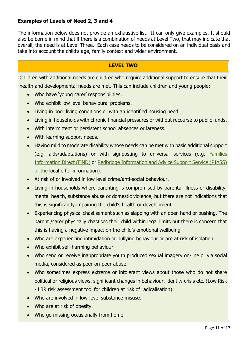### <span id="page-10-0"></span>**Examples of Levels of Need 2, 3 and 4**

The information below does not provide an exhaustive list. It can only give examples. It should also be borne in mind that if there is a combination of needs at Level Two, that may indicate that overall, the need is at Level Three. Each case needs to be considered on an individual basis and take into account the child's age, family context and wider environment.

#### **LEVEL TWO**

<span id="page-10-1"></span>Children with additional needs are children who require additional support to ensure that their health and developmental needs are met. This can include children and young people:

- Who have 'young carer' responsibilities.
- Who exhibit low level behavioural problems.
- Living in poor living conditions or with an identified housing need.
- Living in households with chronic financial pressures or without recourse to public funds.
- With intermittent or persistent school absences or lateness.
- With learning support needs.
- Having mild to moderate disability whose needs can be met with basic additional support (e.g. aids/adaptations) or with signposting to universal services (e.g. [Families](http://find.redbridge.gov.uk/kb5/redbridge/fsd/home.page)  [Information Direct \(FiND\)](http://find.redbridge.gov.uk/kb5/redbridge/fsd/home.page) or [Redbridge Information and Advice Support Service](https://find.redbridge.gov.uk/kb5/redbridge/fsd/localoffer.page?localofferchannel=1_1_10) (RIASS) or the local offer information).
- At risk of or involved in low level crime/anti-social behaviour.
- Living in households where parenting is compromised by parental illness or disability, mental health, substance abuse or domestic violence, but there are not indications that this is significantly impairing the child's health or development.
- Experiencing physical chastisement such as slapping with an open hand or pushing. The parent /carer physically chastises their child within legal limits but there is concern that this is having a negative impact on the child's emotional wellbeing.
- Who are experiencing intimidation or bullying behaviour or are at risk of isolation.
- Who exhibit self-harming behaviour.
- Who send or receive inappropriate youth produced sexual imagery on-line or via social media, considered as peer-on-peer abuse.
- Who sometimes express extreme or intolerant views about those who do not share political or religious views, significant changes in behaviour, identity crisis etc. (Low Risk - LBR risk assessment tool for children at risk of radicalisation).
- Who are involved in low-level substance misuse.
- Who are at risk of obesity.
- Who go missing occasionally from home.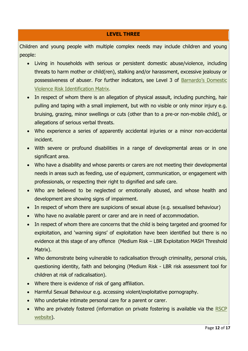#### **LEVEL THREE**

Children and young people with multiple complex needs may include children and young people:

- Living in households with serious or persistent domestic abuse/violence, including threats to harm mother or child(ren), stalking and/or harassment, excessive jealousy or possessiveness of abuser. For further indicators, see Level 3 of [Barnardo's](https://proceduresonline.com/trixcms1/media/5786/barnardos_domestic_violence_risk_identification_matrix.pdf) Domestic [Violence Risk Identification Matrix.](https://proceduresonline.com/trixcms1/media/5786/barnardos_domestic_violence_risk_identification_matrix.pdf)
- In respect of whom there is an allegation of physical assault, including punching, hair pulling and taping with a small implement, but with no visible or only minor injury e.g. bruising, grazing, minor swellings or cuts (other than to a pre-or non-mobile child), or allegations of serious verbal threats.
- Who experience a series of apparently accidental injuries or a minor non-accidental incident.
- With severe or profound disabilities in a range of developmental areas or in one significant area.
- Who have a disability and whose parents or carers are not meeting their developmental needs in areas such as feeding, use of equipment, communication, or engagement with professionals, or respecting their right to dignified and safe care.
- Who are believed to be neglected or emotionally abused, and whose health and development are showing signs of impairment.
- In respect of whom there are suspicions of sexual abuse (e.g. sexualised behaviour)
- Who have no available parent or carer and are in need of accommodation.
- In respect of whom there are concerns that the child is being targeted and groomed for exploitation, and 'warning signs' of exploitation have been identified but there is no evidence at this stage of any offence (Medium Risk – LBR Exploitation MASH Threshold Matrix).
- Who demonstrate being vulnerable to radicalisation through criminality, personal crisis, questioning identity, faith and belonging (Medium Risk - LBR risk assessment tool for children at risk of radicalisation).
- Where there is evidence of risk of gang affiliation.
- Harmful Sexual Behaviour e.g. accessing violent/exploitative pornography.
- Who undertake intimate personal care for a parent or carer.
- Who are privately fostered (information on private fostering is available via the [RSCP](https://www.redbridgescp.org.uk/professionals/private-fostering/)  [website\)](https://www.redbridgescp.org.uk/professionals/private-fostering/).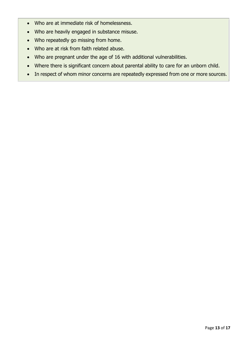- Who are at immediate risk of homelessness.
- Who are heavily engaged in substance misuse.
- Who repeatedly go missing from home.
- Who are at risk from faith related abuse.
- Who are pregnant under the age of 16 with additional vulnerabilities.
- Where there is significant concern about parental ability to care for an unborn child.
- In respect of whom minor concerns are repeatedly expressed from one or more sources.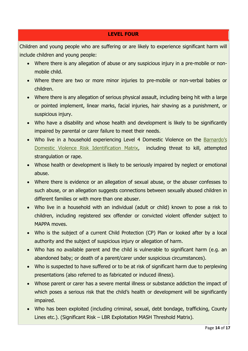## **LEVEL FOUR**

Children and young people who are suffering or are likely to experience significant harm will include children and young people:

- Where there is any allegation of abuse or any suspicious injury in a pre-mobile or nonmobile child.
- Where there are two or more minor injuries to pre-mobile or non-verbal babies or children.
- Where there is any allegation of serious physical assault, including being hit with a large or pointed implement, linear marks, facial injuries, hair shaving as a punishment, or suspicious injury.
- Who have a disability and whose health and development is likely to be significantly impaired by parental or carer failure to meet their needs.
- Who live in a household experiencing Level 4 Domestic Violence on the [Barnardo's](https://proceduresonline.com/trixcms1/media/5786/barnardos_domestic_violence_risk_identification_matrix.pdf) [Domestic Violence Risk Identification Matrix,](https://proceduresonline.com/trixcms1/media/5786/barnardos_domestic_violence_risk_identification_matrix.pdf) including threat to kill, attempted strangulation or rape.
- Whose health or development is likely to be seriously impaired by neglect or emotional abuse.
- Where there is evidence or an allegation of sexual abuse, or the abuser confesses to such abuse, or an allegation suggests connections between sexually abused children in different families or with more than one abuser.
- Who live in a household with an individual (adult or child) known to pose a risk to children, including registered sex offender or convicted violent offender subject to MAPPA moves.
- Who is the subject of a current Child Protection (CP) Plan or looked after by a local authority and the subject of suspicious injury or allegation of harm.
- Who has no available parent and the child is vulnerable to significant harm (e.g. an abandoned baby; or death of a parent/carer under suspicious circumstances).
- Who is suspected to have suffered or to be at risk of significant harm due to perplexing presentations (also referred to as fabricated or induced illness).
- Whose parent or carer has a severe mental illness or substance addiction the impact of which poses a serious risk that the child's health or development will be significantly impaired.
- Who has been exploited (including criminal, sexual, debt bondage, trafficking, County Lines etc.). (Significant Risk – LBR Exploitation MASH Threshold Matrix).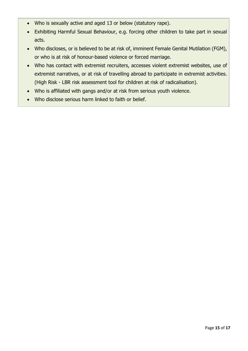- Who is sexually active and aged 13 or below (statutory rape).
- Exhibiting Harmful Sexual Behaviour, e.g. forcing other children to take part in sexual acts.
- Who discloses, or is believed to be at risk of, imminent Female Genital Mutilation (FGM), or who is at risk of honour-based violence or forced marriage.
- Who has contact with extremist recruiters, accesses violent extremist websites, use of extremist narratives, or at risk of travelling abroad to participate in extremist activities. (High Risk - LBR risk assessment tool for children at risk of radicalisation).
- Who is affiliated with gangs and/or at risk from serious youth violence.
- Who disclose serious harm linked to faith or belief.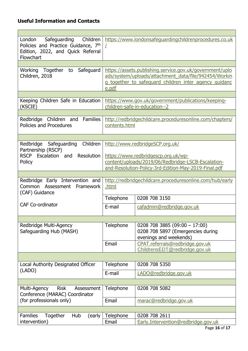# <span id="page-15-0"></span>**Useful Information and Contacts**

| London Safeguarding Children<br>Policies and Practice Guidance, 7th<br>Edition, 2022, and Quick Referral<br>Flowchart | L                                                                                                                                                                                   | https://www.londonsafeguardingchildrenprocedures.co.uk                                         |  |  |
|-----------------------------------------------------------------------------------------------------------------------|-------------------------------------------------------------------------------------------------------------------------------------------------------------------------------------|------------------------------------------------------------------------------------------------|--|--|
|                                                                                                                       |                                                                                                                                                                                     |                                                                                                |  |  |
| Working Together to Safeguard<br>Children, 2018                                                                       | https://assets.publishing.service.gov.uk/government/uplo<br>ads/system/uploads/attachment_data/file/942454/Workin<br>g together to safeguard children inter agency guidanc<br>e.pdf |                                                                                                |  |  |
|                                                                                                                       |                                                                                                                                                                                     |                                                                                                |  |  |
| Keeping Children Safe in Education<br>(KSCIE)                                                                         | https://www.gov.uk/government/publications/keeping-<br>children-safe-in-education--2                                                                                                |                                                                                                |  |  |
|                                                                                                                       |                                                                                                                                                                                     |                                                                                                |  |  |
| Redbridge Children and Families<br>Policies and Procedures                                                            | http://redbridgechildcare.proceduresonline.com/chapters/<br>contents.html                                                                                                           |                                                                                                |  |  |
|                                                                                                                       |                                                                                                                                                                                     |                                                                                                |  |  |
| Redbridge Safeguarding<br>Children<br>Partnership (RSCP)                                                              | http://www.redbridgeSCP.org.uk/                                                                                                                                                     |                                                                                                |  |  |
| RSCP Escalation and Resolution                                                                                        | https://www.redbridgescp.org.uk/wp-                                                                                                                                                 |                                                                                                |  |  |
| Policy                                                                                                                | content/uploads/2019/06/Redbridge-LSCB-Escalation-                                                                                                                                  |                                                                                                |  |  |
|                                                                                                                       |                                                                                                                                                                                     | and-Resolution-Policy-3rd-Edition-May-2019-Final.pdf                                           |  |  |
|                                                                                                                       |                                                                                                                                                                                     |                                                                                                |  |  |
| Redbridge Early Intervention and<br>Common Assessment Framework<br>(CAF) Guidance                                     | http://redbridgechildcare.proceduresonline.com/hub/early<br>.html                                                                                                                   |                                                                                                |  |  |
|                                                                                                                       | Telephone                                                                                                                                                                           | 0208 708 3150                                                                                  |  |  |
| <b>CAF Co-ordinator</b>                                                                                               | E-mail                                                                                                                                                                              | cafadmin@redbridge.gov.uk                                                                      |  |  |
|                                                                                                                       |                                                                                                                                                                                     |                                                                                                |  |  |
| Redbridge Multi-Agency<br>Safeguarding Hub (MASH)                                                                     | Telephone                                                                                                                                                                           | $0208$ 708 3885 (09:00 - 17:00)<br>0208 708 5897 (Emergencies during<br>evenings and weekends) |  |  |
|                                                                                                                       | Email                                                                                                                                                                               | CPAT.referrals@redbridge.gov.uk<br>ChildrensEDT@redbridge.gov.uk                               |  |  |
|                                                                                                                       |                                                                                                                                                                                     |                                                                                                |  |  |
| <b>Local Authority Designated Officer</b>                                                                             | Telephone                                                                                                                                                                           | 0208 708 5350                                                                                  |  |  |
| (LADO)                                                                                                                | E-mail                                                                                                                                                                              | LADO@redbridge.gov.uk                                                                          |  |  |
|                                                                                                                       |                                                                                                                                                                                     |                                                                                                |  |  |
| Multi-Agency<br><b>Risk</b><br>Assessment<br>Conference (MARAC) Coordinator                                           | Telephone                                                                                                                                                                           | 0208 708 5082                                                                                  |  |  |
| (for professionals only)                                                                                              | Email                                                                                                                                                                               | marac@redbridge.gov.uk                                                                         |  |  |
|                                                                                                                       |                                                                                                                                                                                     |                                                                                                |  |  |
| Together<br><b>Families</b><br>Hub<br>(early                                                                          | Telephone                                                                                                                                                                           | 0208 708 2611                                                                                  |  |  |
| intervention)                                                                                                         | Email                                                                                                                                                                               | Early.Intervention@redbridge.gov.uk                                                            |  |  |